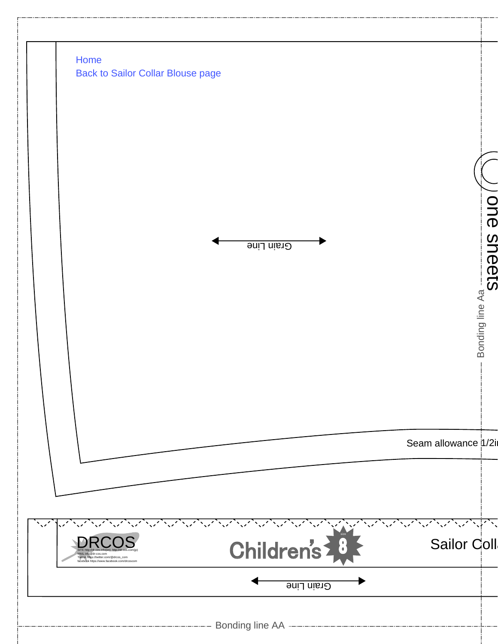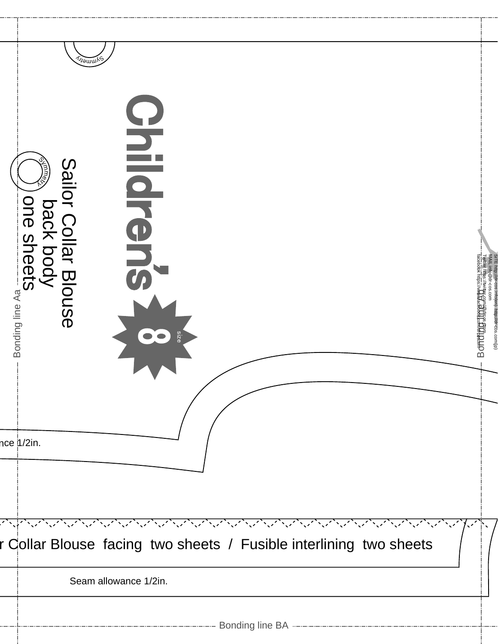| ่∕ขอแ∪เ<br>N EC<br>one sheets<br>SUS<br>Bonding line Aa<br>size<br>$\bullet\bullet$ | MALL Into@dr~60s.com<br>MALL Into@dr~60s.com<br>I Will Into@dr~60s.com<br>Rogbook hittps://www. <b>dr</b> o <del>ed</del> ook.lcom/MULQCHIOCEI |
|-------------------------------------------------------------------------------------|------------------------------------------------------------------------------------------------------------------------------------------------|
| nce 1/2in.<br>ひんしゅうしょう しょうしょうしょうしょうしょうしょうしょうしょうしょうしょうしょうしょう                         |                                                                                                                                                |
| r Collar Blouse facing two sheets / Fusible interlining two sheets                  |                                                                                                                                                |
| Seam allowance 1/2in.                                                               |                                                                                                                                                |
|                                                                                     |                                                                                                                                                |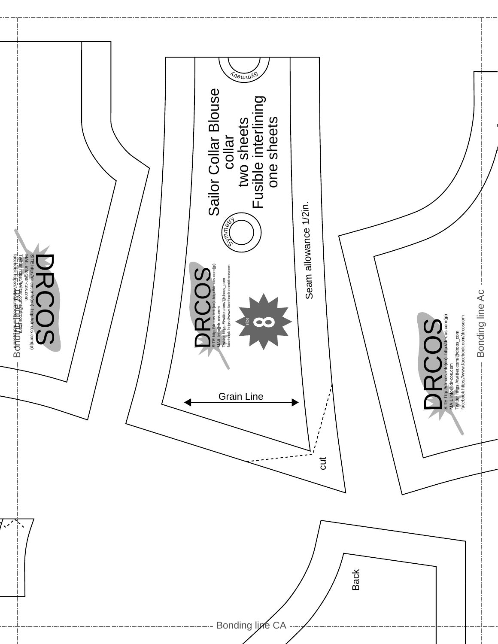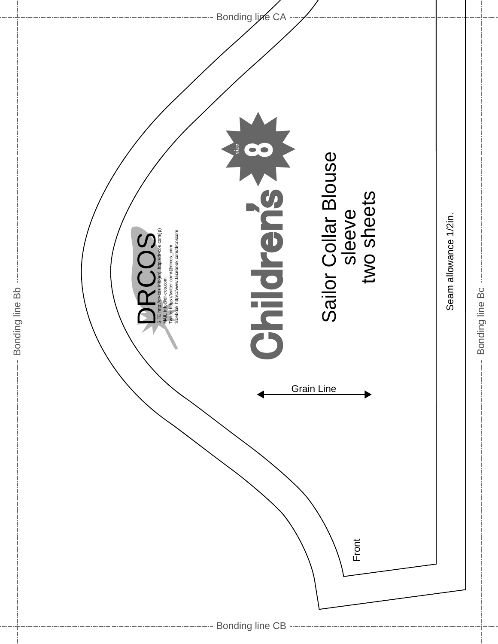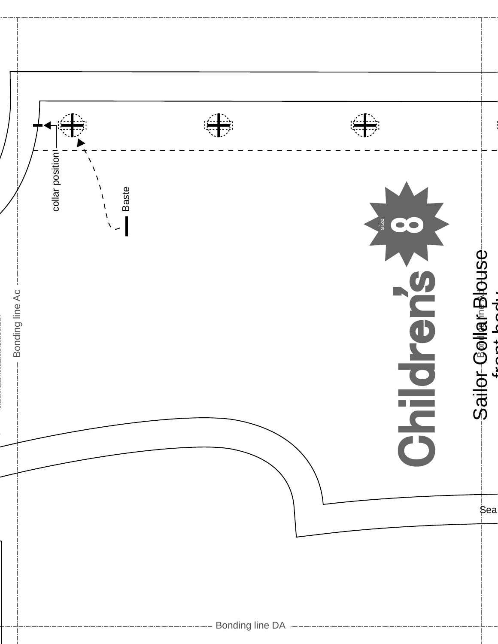